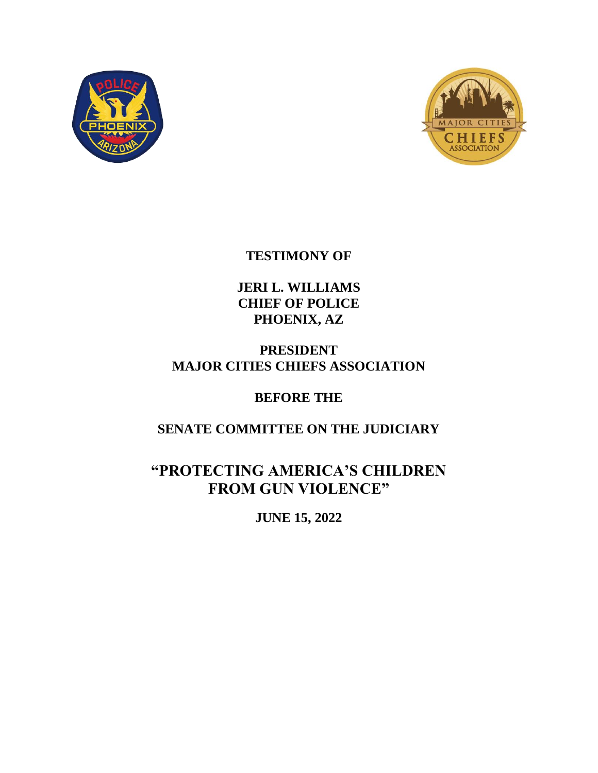



# **TESTIMONY OF**

**JERI L. WILLIAMS CHIEF OF POLICE PHOENIX, AZ**

**PRESIDENT MAJOR CITIES CHIEFS ASSOCIATION**

# **BEFORE THE**

# **SENATE COMMITTEE ON THE JUDICIARY**

**"PROTECTING AMERICA'S CHILDREN FROM GUN VIOLENCE"**

**JUNE 15, 2022**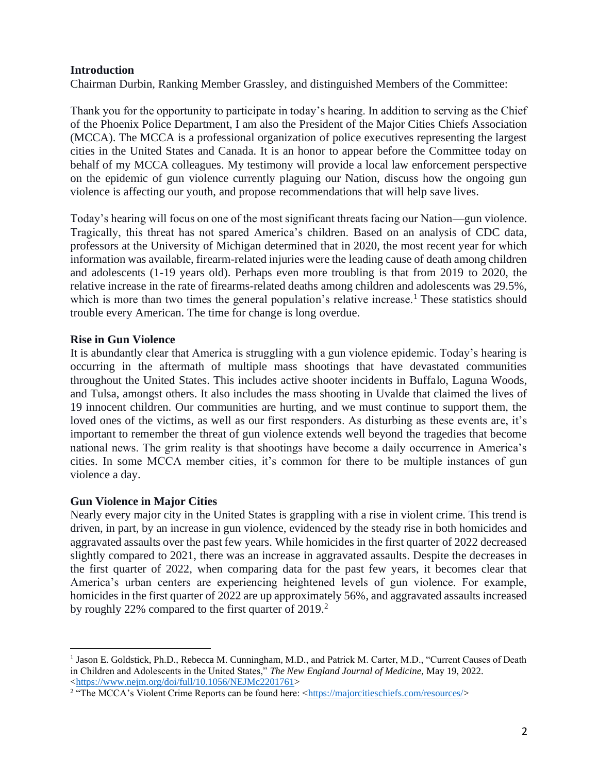#### **Introduction**

Chairman Durbin, Ranking Member Grassley, and distinguished Members of the Committee:

Thank you for the opportunity to participate in today's hearing. In addition to serving as the Chief of the Phoenix Police Department, I am also the President of the Major Cities Chiefs Association (MCCA). The MCCA is a professional organization of police executives representing the largest cities in the United States and Canada. It is an honor to appear before the Committee today on behalf of my MCCA colleagues. My testimony will provide a local law enforcement perspective on the epidemic of gun violence currently plaguing our Nation, discuss how the ongoing gun violence is affecting our youth, and propose recommendations that will help save lives.

Today's hearing will focus on one of the most significant threats facing our Nation—gun violence. Tragically, this threat has not spared America's children. Based on an analysis of CDC data, professors at the University of Michigan determined that in 2020, the most recent year for which information was available, firearm-related injuries were the leading cause of death among children and adolescents (1-19 years old). Perhaps even more troubling is that from 2019 to 2020, the relative increase in the rate of firearms-related deaths among children and adolescents was 29.5%, which is more than two times the general population's relative increase.<sup>1</sup> These statistics should trouble every American. The time for change is long overdue.

#### **Rise in Gun Violence**

It is abundantly clear that America is struggling with a gun violence epidemic. Today's hearing is occurring in the aftermath of multiple mass shootings that have devastated communities throughout the United States. This includes active shooter incidents in Buffalo, Laguna Woods, and Tulsa, amongst others. It also includes the mass shooting in Uvalde that claimed the lives of 19 innocent children. Our communities are hurting, and we must continue to support them, the loved ones of the victims, as well as our first responders. As disturbing as these events are, it's important to remember the threat of gun violence extends well beyond the tragedies that become national news. The grim reality is that shootings have become a daily occurrence in America's cities. In some MCCA member cities, it's common for there to be multiple instances of gun violence a day.

#### **Gun Violence in Major Cities**

Nearly every major city in the United States is grappling with a rise in violent crime. This trend is driven, in part, by an increase in gun violence, evidenced by the steady rise in both homicides and aggravated assaults over the past few years. While homicides in the first quarter of 2022 decreased slightly compared to 2021, there was an increase in aggravated assaults. Despite the decreases in the first quarter of 2022, when comparing data for the past few years, it becomes clear that America's urban centers are experiencing heightened levels of gun violence. For example, homicides in the first quarter of 2022 are up approximately 56%, and aggravated assaults increased by roughly 22% compared to the first quarter of 2019.<sup>2</sup>

<sup>&</sup>lt;sup>1</sup> Jason E. Goldstick, Ph.D., Rebecca M. Cunningham, M.D., and Patrick M. Carter, M.D., "Current Causes of Death in Children and Adolescents in the United States," *The New England Journal of Medicine,* May 19, 2022. [<https://www.nejm.org/doi/full/10.1056/NEJMc2201761>](https://www.nejm.org/doi/full/10.1056/NEJMc2201761)

<sup>&</sup>lt;sup>2</sup> "The MCCA's Violent Crime Reports can be found here: [<https://majorcitieschiefs.com/resources/>](https://majorcitieschiefs.com/resources/)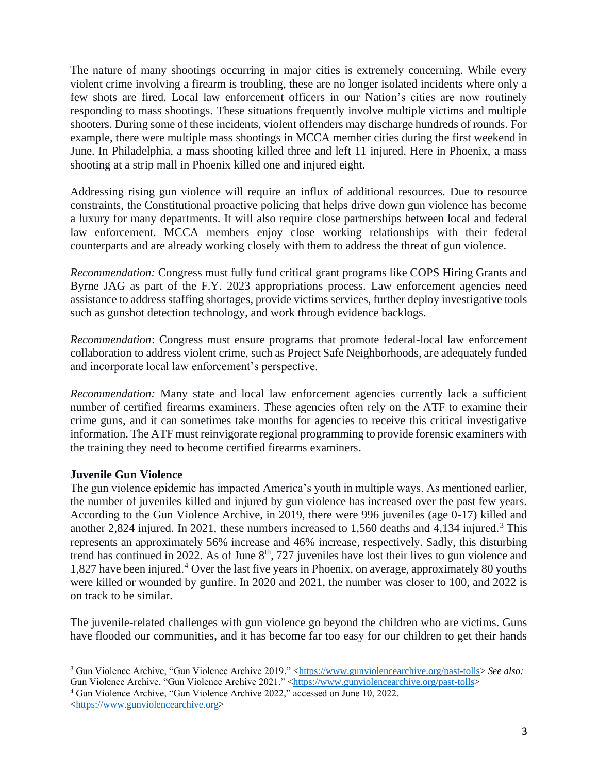The nature of many shootings occurring in major cities is extremely concerning. While every violent crime involving a firearm is troubling, these are no longer isolated incidents where only a few shots are fired. Local law enforcement officers in our Nation's cities are now routinely responding to mass shootings. These situations frequently involve multiple victims and multiple shooters. During some of these incidents, violent offenders may discharge hundreds of rounds. For example, there were multiple mass shootings in MCCA member cities during the first weekend in June. In Philadelphia, a mass shooting killed three and left 11 injured. Here in Phoenix, a mass shooting at a strip mall in Phoenix killed one and injured eight.

Addressing rising gun violence will require an influx of additional resources. Due to resource constraints, the Constitutional proactive policing that helps drive down gun violence has become a luxury for many departments. It will also require close partnerships between local and federal law enforcement. MCCA members enjoy close working relationships with their federal counterparts and are already working closely with them to address the threat of gun violence.

*Recommendation:* Congress must fully fund critical grant programs like COPS Hiring Grants and Byrne JAG as part of the F.Y. 2023 appropriations process. Law enforcement agencies need assistance to address staffing shortages, provide victims services, further deploy investigative tools such as gunshot detection technology, and work through evidence backlogs.

*Recommendation*: Congress must ensure programs that promote federal-local law enforcement collaboration to address violent crime, such as Project Safe Neighborhoods, are adequately funded and incorporate local law enforcement's perspective.

*Recommendation:* Many state and local law enforcement agencies currently lack a sufficient number of certified firearms examiners. These agencies often rely on the ATF to examine their crime guns, and it can sometimes take months for agencies to receive this critical investigative information. The ATF must reinvigorate regional programming to provide forensic examiners with the training they need to become certified firearms examiners.

#### **Juvenile Gun Violence**

The gun violence epidemic has impacted America's youth in multiple ways. As mentioned earlier, the number of juveniles killed and injured by gun violence has increased over the past few years. According to the Gun Violence Archive, in 2019, there were 996 juveniles (age 0-17) killed and another 2,824 injured. In 2021, these numbers increased to  $1,560$  deaths and  $4,134$  injured.<sup>3</sup> This represents an approximately 56% increase and 46% increase, respectively. Sadly, this disturbing trend has continued in 2022. As of June  $8<sup>th</sup>$ , 727 juveniles have lost their lives to gun violence and 1,827 have been injured.<sup>4</sup> Over the last five years in Phoenix, on average, approximately 80 youths were killed or wounded by gunfire. In 2020 and 2021, the number was closer to 100, and 2022 is on track to be similar.

The juvenile-related challenges with gun violence go beyond the children who are victims. Guns have flooded our communities, and it has become far too easy for our children to get their hands

<sup>4</sup> Gun Violence Archive, "Gun Violence Archive 2022," accessed on June 10, 2022.

<sup>&</sup>lt;sup>3</sup> Gun Violence Archive, "Gun Violence Archive 2019." [<https://www.gunviolencearchive.org/past-tolls>](https://www.gunviolencearchive.org/past-tolls) See also: Gun Violence Archive, "Gun Violence Archive 2021." [<https://www.gunviolencearchive.org/past-tolls>](https://www.gunviolencearchive.org/past-tolls)

[<sup>&</sup>lt;https://www.gunviolencearchive.org>](https://www.gunviolencearchive.org/)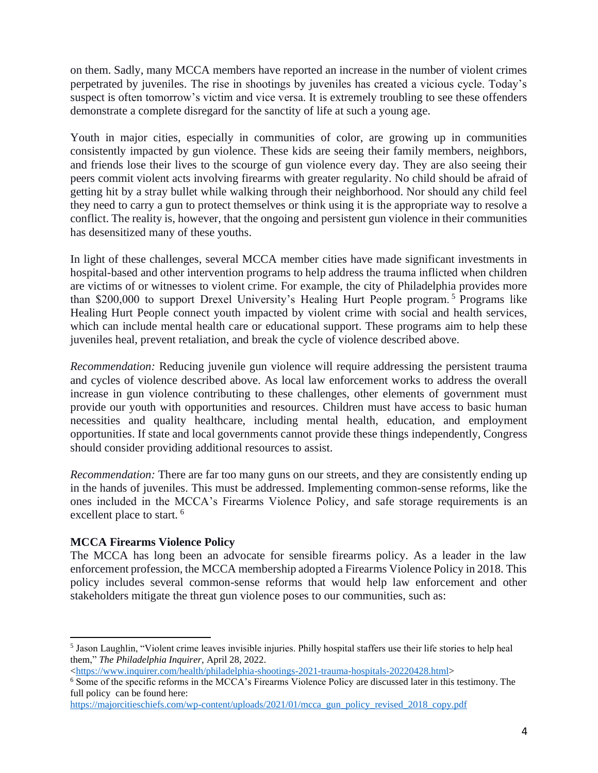on them. Sadly, many MCCA members have reported an increase in the number of violent crimes perpetrated by juveniles. The rise in shootings by juveniles has created a vicious cycle. Today's suspect is often tomorrow's victim and vice versa. It is extremely troubling to see these offenders demonstrate a complete disregard for the sanctity of life at such a young age.

Youth in major cities, especially in communities of color, are growing up in communities consistently impacted by gun violence. These kids are seeing their family members, neighbors, and friends lose their lives to the scourge of gun violence every day. They are also seeing their peers commit violent acts involving firearms with greater regularity. No child should be afraid of getting hit by a stray bullet while walking through their neighborhood. Nor should any child feel they need to carry a gun to protect themselves or think using it is the appropriate way to resolve a conflict. The reality is, however, that the ongoing and persistent gun violence in their communities has desensitized many of these youths.

In light of these challenges, several MCCA member cities have made significant investments in hospital-based and other intervention programs to help address the trauma inflicted when children are victims of or witnesses to violent crime. For example, the city of Philadelphia provides more than \$200,000 to support Drexel University's Healing Hurt People program. <sup>5</sup> Programs like Healing Hurt People connect youth impacted by violent crime with social and health services, which can include mental health care or educational support. These programs aim to help these juveniles heal, prevent retaliation, and break the cycle of violence described above.

*Recommendation:* Reducing juvenile gun violence will require addressing the persistent trauma and cycles of violence described above. As local law enforcement works to address the overall increase in gun violence contributing to these challenges, other elements of government must provide our youth with opportunities and resources. Children must have access to basic human necessities and quality healthcare, including mental health, education, and employment opportunities. If state and local governments cannot provide these things independently, Congress should consider providing additional resources to assist.

*Recommendation:* There are far too many guns on our streets, and they are consistently ending up in the hands of juveniles. This must be addressed. Implementing common-sense reforms, like the ones included in the MCCA's Firearms Violence Policy, and safe storage requirements is an excellent place to start.<sup>6</sup>

#### **MCCA Firearms Violence Policy**

The MCCA has long been an advocate for sensible firearms policy. As a leader in the law enforcement profession, the MCCA membership adopted a Firearms Violence Policy in 2018. This policy includes several common-sense reforms that would help law enforcement and other stakeholders mitigate the threat gun violence poses to our communities, such as:

<sup>5</sup> Jason Laughlin, "Violent crime leaves invisible injuries. Philly hospital staffers use their life stories to help heal them," *The Philadelphia Inquirer,* April 28, 2022.

[<sup>&</sup>lt;https://www.inquirer.com/health/philadelphia-shootings-2021-trauma-hospitals-20220428.html>](https://www.inquirer.com/health/philadelphia-shootings-2021-trauma-hospitals-20220428.html)

<sup>&</sup>lt;sup>6</sup> Some of the specific reforms in the MCCA's Firearms Violence Policy are discussed later in this testimony. The full policy can be found here:

[https://majorcitieschiefs.com/wp-content/uploads/2021/01/mcca\\_gun\\_policy\\_revised\\_2018\\_copy.pdf](https://majorcitieschiefs.com/wp-content/uploads/2021/01/mcca_gun_policy_revised_2018_copy.pdf)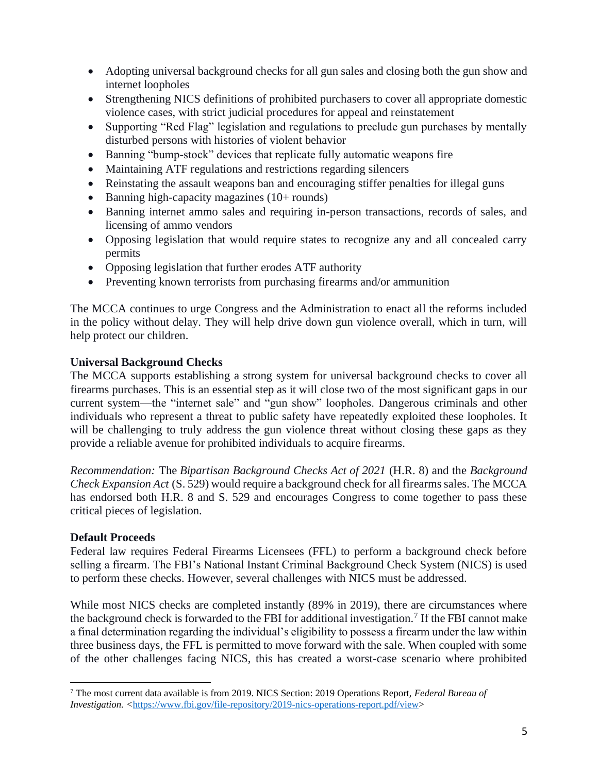- Adopting universal background checks for all gun sales and closing both the gun show and internet loopholes
- Strengthening NICS definitions of prohibited purchasers to cover all appropriate domestic violence cases, with strict judicial procedures for appeal and reinstatement
- Supporting "Red Flag" legislation and regulations to preclude gun purchases by mentally disturbed persons with histories of violent behavior
- Banning "bump-stock" devices that replicate fully automatic weapons fire
- Maintaining ATF regulations and restrictions regarding silencers
- Reinstating the assault weapons ban and encouraging stiffer penalties for illegal guns
- Banning high-capacity magazines (10+ rounds)
- Banning internet ammo sales and requiring in-person transactions, records of sales, and licensing of ammo vendors
- Opposing legislation that would require states to recognize any and all concealed carry permits
- Opposing legislation that further erodes ATF authority
- Preventing known terrorists from purchasing firearms and/or ammunition

The MCCA continues to urge Congress and the Administration to enact all the reforms included in the policy without delay. They will help drive down gun violence overall, which in turn, will help protect our children.

## **Universal Background Checks**

The MCCA supports establishing a strong system for universal background checks to cover all firearms purchases. This is an essential step as it will close two of the most significant gaps in our current system—the "internet sale" and "gun show" loopholes. Dangerous criminals and other individuals who represent a threat to public safety have repeatedly exploited these loopholes. It will be challenging to truly address the gun violence threat without closing these gaps as they provide a reliable avenue for prohibited individuals to acquire firearms.

*Recommendation:* The *Bipartisan Background Checks Act of 2021* (H.R. 8) and the *Background Check Expansion Act* (S. 529) would require a background check for all firearms sales. The MCCA has endorsed both H.R. 8 and S. 529 and encourages Congress to come together to pass these critical pieces of legislation.

#### **Default Proceeds**

Federal law requires Federal Firearms Licensees (FFL) to perform a background check before selling a firearm. The FBI's National Instant Criminal Background Check System (NICS) is used to perform these checks. However, several challenges with NICS must be addressed.

While most NICS checks are completed instantly (89% in 2019), there are circumstances where the background check is forwarded to the FBI for additional investigation.<sup>7</sup> If the FBI cannot make a final determination regarding the individual's eligibility to possess a firearm under the law within three business days, the FFL is permitted to move forward with the sale. When coupled with some of the other challenges facing NICS, this has created a worst-case scenario where prohibited

<sup>7</sup> The most current data available is from 2019. NICS Section: 2019 Operations Report, *Federal Bureau of Investigation. <*[https://www.fbi.gov/file-repository/2019-nics-operations-report.pdf/view>](https://www.fbi.gov/file-repository/2019-nics-operations-report.pdf/view)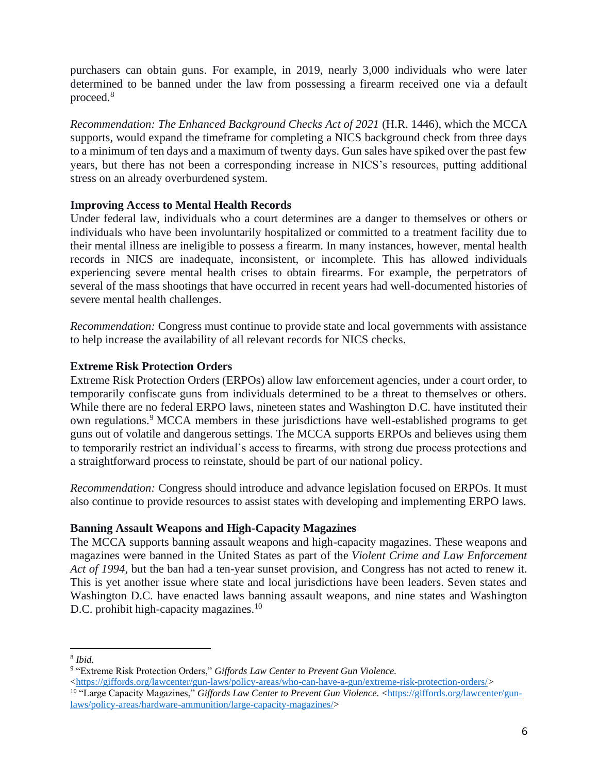purchasers can obtain guns. For example, in 2019, nearly 3,000 individuals who were later determined to be banned under the law from possessing a firearm received one via a default proceed.<sup>8</sup>

*Recommendation: The Enhanced Background Checks Act of 2021* (H.R. 1446), which the MCCA supports, would expand the timeframe for completing a NICS background check from three days to a minimum of ten days and a maximum of twenty days. Gun sales have spiked over the past few years, but there has not been a corresponding increase in NICS's resources, putting additional stress on an already overburdened system.

#### **Improving Access to Mental Health Records**

Under federal law, individuals who a court determines are a danger to themselves or others or individuals who have been involuntarily hospitalized or committed to a treatment facility due to their mental illness are ineligible to possess a firearm. In many instances, however, mental health records in NICS are inadequate, inconsistent, or incomplete. This has allowed individuals experiencing severe mental health crises to obtain firearms. For example, the perpetrators of several of the mass shootings that have occurred in recent years had well-documented histories of severe mental health challenges.

*Recommendation:* Congress must continue to provide state and local governments with assistance to help increase the availability of all relevant records for NICS checks.

## **Extreme Risk Protection Orders**

Extreme Risk Protection Orders (ERPOs) allow law enforcement agencies, under a court order, to temporarily confiscate guns from individuals determined to be a threat to themselves or others. While there are no federal ERPO laws, nineteen states and Washington D.C. have instituted their own regulations.<sup>9</sup> MCCA members in these jurisdictions have well-established programs to get guns out of volatile and dangerous settings. The MCCA supports ERPOs and believes using them to temporarily restrict an individual's access to firearms, with strong due process protections and a straightforward process to reinstate, should be part of our national policy.

*Recommendation:* Congress should introduce and advance legislation focused on ERPOs. It must also continue to provide resources to assist states with developing and implementing ERPO laws.

#### **Banning Assault Weapons and High-Capacity Magazines**

The MCCA supports banning assault weapons and high-capacity magazines. These weapons and magazines were banned in the United States as part of the *Violent Crime and Law Enforcement Act of 1994*, but the ban had a ten-year sunset provision, and Congress has not acted to renew it. This is yet another issue where state and local jurisdictions have been leaders. Seven states and Washington D.C. have enacted laws banning assault weapons, and nine states and Washington D.C. prohibit high-capacity magazines.<sup>10</sup>

<sup>8</sup> *Ibid.*

<sup>9</sup> "Extreme Risk Protection Orders," *Giffords Law Center to Prevent Gun Violence.* 

[<sup>&</sup>lt;https://giffords.org/lawcenter/gun-laws/policy-areas/who-can-have-a-gun/extreme-risk-protection-orders/](https://giffords.org/lawcenter/gun-laws/policy-areas/who-can-have-a-gun/extreme-risk-protection-orders/)*>* 

<sup>&</sup>lt;sup>10</sup> "Large Capacity Magazines," *Giffords Law Center to Prevent Gun Violence.* [<https://giffords.org/lawcenter/gun](https://giffords.org/lawcenter/gun-laws/policy-areas/hardware-ammunition/large-capacity-magazines/)[laws/policy-areas/hardware-ammunition/large-capacity-magazines/>](https://giffords.org/lawcenter/gun-laws/policy-areas/hardware-ammunition/large-capacity-magazines/)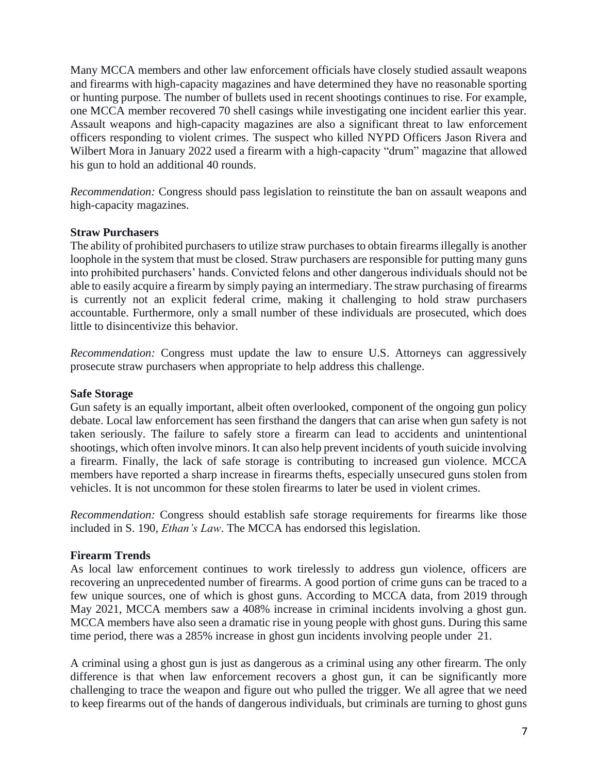Many MCCA members and other law enforcement officials have closely studied assault weapons and firearms with high-capacity magazines and have determined they have no reasonable sporting or hunting purpose. The number of bullets used in recent shootings continues to rise. For example, one MCCA member recovered 70 shell casings while investigating one incident earlier this year. Assault weapons and high-capacity magazines are also a significant threat to law enforcement officers responding to violent crimes. The suspect who killed NYPD Officers Jason Rivera and Wilbert Mora in January 2022 used a firearm with a high-capacity "drum" magazine that allowed his gun to hold an additional 40 rounds.

*Recommendation:* Congress should pass legislation to reinstitute the ban on assault weapons and high-capacity magazines.

#### **Straw Purchasers**

The ability of prohibited purchasers to utilize straw purchases to obtain firearms illegally is another loophole in the system that must be closed. Straw purchasers are responsible for putting many guns into prohibited purchasers' hands. Convicted felons and other dangerous individuals should not be able to easily acquire a firearm by simply paying an intermediary. The straw purchasing of firearms is currently not an explicit federal crime, making it challenging to hold straw purchasers accountable. Furthermore, only a small number of these individuals are prosecuted, which does little to disincentivize this behavior.

*Recommendation:* Congress must update the law to ensure U.S. Attorneys can aggressively prosecute straw purchasers when appropriate to help address this challenge.

#### **Safe Storage**

Gun safety is an equally important, albeit often overlooked, component of the ongoing gun policy debate. Local law enforcement has seen firsthand the dangers that can arise when gun safety is not taken seriously. The failure to safely store a firearm can lead to accidents and unintentional shootings, which often involve minors. It can also help prevent incidents of youth suicide involving a firearm. Finally, the lack of safe storage is contributing to increased gun violence. MCCA members have reported a sharp increase in firearms thefts, especially unsecured guns stolen from vehicles. It is not uncommon for these stolen firearms to later be used in violent crimes.

*Recommendation:* Congress should establish safe storage requirements for firearms like those included in S. 190, *Ethan's Law*. The MCCA has endorsed this legislation.

#### **Firearm Trends**

As local law enforcement continues to work tirelessly to address gun violence, officers are recovering an unprecedented number of firearms. A good portion of crime guns can be traced to a few unique sources, one of which is ghost guns. According to MCCA data, from 2019 through May 2021, MCCA members saw a 408% increase in criminal incidents involving a ghost gun. MCCA members have also seen a dramatic rise in young people with ghost guns. During this same time period, there was a 285% increase in ghost gun incidents involving people under 21.

A criminal using a ghost gun is just as dangerous as a criminal using any other firearm. The only difference is that when law enforcement recovers a ghost gun, it can be significantly more challenging to trace the weapon and figure out who pulled the trigger. We all agree that we need to keep firearms out of the hands of dangerous individuals, but criminals are turning to ghost guns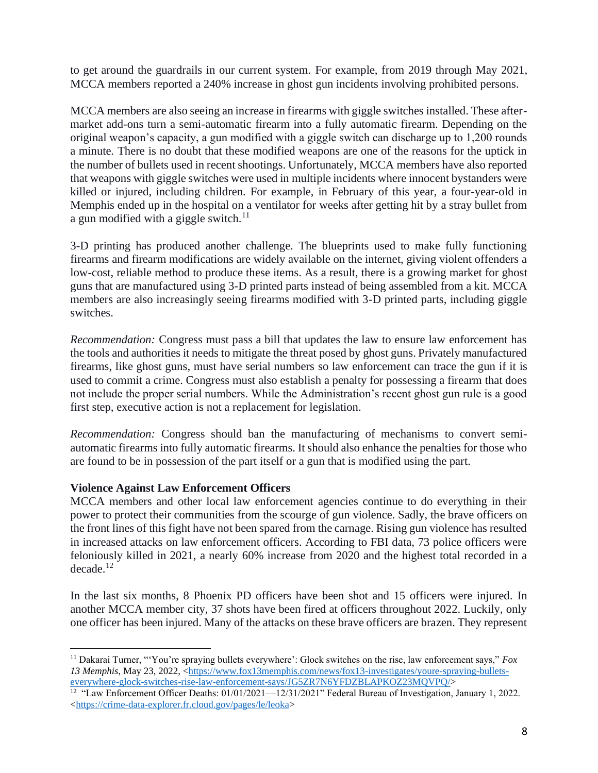to get around the guardrails in our current system. For example, from 2019 through May 2021, MCCA members reported a 240% increase in ghost gun incidents involving prohibited persons.

MCCA members are also seeing an increase in firearms with giggle switches installed. These aftermarket add-ons turn a semi-automatic firearm into a fully automatic firearm. Depending on the original weapon's capacity, a gun modified with a giggle switch can discharge up to 1,200 rounds a minute. There is no doubt that these modified weapons are one of the reasons for the uptick in the number of bullets used in recent shootings. Unfortunately, MCCA members have also reported that weapons with giggle switches were used in multiple incidents where innocent bystanders were killed or injured, including children. For example, in February of this year, a four-year-old in Memphis ended up in the hospital on a ventilator for weeks after getting hit by a stray bullet from a gun modified with a giggle switch. $11$ 

3-D printing has produced another challenge. The blueprints used to make fully functioning firearms and firearm modifications are widely available on the internet, giving violent offenders a low-cost, reliable method to produce these items. As a result, there is a growing market for ghost guns that are manufactured using 3-D printed parts instead of being assembled from a kit. MCCA members are also increasingly seeing firearms modified with 3-D printed parts, including giggle switches.

*Recommendation:* Congress must pass a bill that updates the law to ensure law enforcement has the tools and authorities it needs to mitigate the threat posed by ghost guns. Privately manufactured firearms, like ghost guns, must have serial numbers so law enforcement can trace the gun if it is used to commit a crime. Congress must also establish a penalty for possessing a firearm that does not include the proper serial numbers. While the Administration's recent ghost gun rule is a good first step, executive action is not a replacement for legislation.

*Recommendation:* Congress should ban the manufacturing of mechanisms to convert semiautomatic firearms into fully automatic firearms. It should also enhance the penalties for those who are found to be in possession of the part itself or a gun that is modified using the part.

#### **Violence Against Law Enforcement Officers**

MCCA members and other local law enforcement agencies continue to do everything in their power to protect their communities from the scourge of gun violence. Sadly, the brave officers on the front lines of this fight have not been spared from the carnage. Rising gun violence has resulted in increased attacks on law enforcement officers. According to FBI data, 73 police officers were feloniously killed in 2021, a nearly 60% increase from 2020 and the highest total recorded in a  $decade.<sup>12</sup>$ 

In the last six months, 8 Phoenix PD officers have been shot and 15 officers were injured. In another MCCA member city, 37 shots have been fired at officers throughout 2022. Luckily, only one officer has been injured. Many of the attacks on these brave officers are brazen. They represent

<sup>11</sup> Dakarai Turner, "'You're spraying bullets everywhere': Glock switches on the rise, law enforcement says," *Fox*  13 Memphis, May 23, 2022, [<https://www.fox13memphis.com/news/fox13-investigates/youre-spraying-bullets](https://www.fox13memphis.com/news/fox13-investigates/youre-spraying-bullets-everywhere-glock-switches-rise-law-enforcement-says/JG5ZR7N6YFDZBLAPKOZ23MQVPQ/)[everywhere-glock-switches-rise-law-enforcement-says/JG5ZR7N6YFDZBLAPKOZ23MQVPQ/>](https://www.fox13memphis.com/news/fox13-investigates/youre-spraying-bullets-everywhere-glock-switches-rise-law-enforcement-says/JG5ZR7N6YFDZBLAPKOZ23MQVPQ/)

<sup>&</sup>lt;sup>12</sup> "Law Enforcement Officer Deaths: 01/01/2021—12/31/2021" Federal Bureau of Investigation, January 1, 2022. [<https://crime-data-explorer.fr.cloud.gov/pages/le/leoka>](https://crime-data-explorer.fr.cloud.gov/pages/le/leoka)